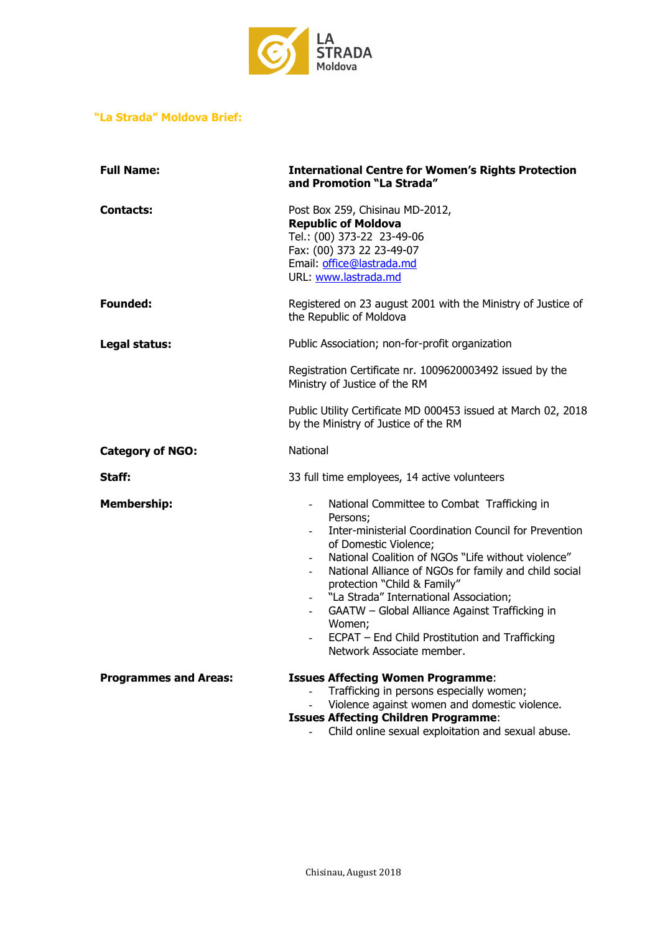

# **"La Strada" Moldova Brief:**

| <b>Full Name:</b>            | <b>International Centre for Women's Rights Protection</b><br>and Promotion "La Strada"                                                                                                                                                                                                                                                                                                                                                                                                                   |
|------------------------------|----------------------------------------------------------------------------------------------------------------------------------------------------------------------------------------------------------------------------------------------------------------------------------------------------------------------------------------------------------------------------------------------------------------------------------------------------------------------------------------------------------|
| <b>Contacts:</b>             | Post Box 259, Chisinau MD-2012,<br><b>Republic of Moldova</b><br>Tel.: (00) 373-22 23-49-06<br>Fax: (00) 373 22 23-49-07<br>Email: office@lastrada.md<br>URL: www.lastrada.md                                                                                                                                                                                                                                                                                                                            |
| Founded:                     | Registered on 23 august 2001 with the Ministry of Justice of<br>the Republic of Moldova                                                                                                                                                                                                                                                                                                                                                                                                                  |
| Legal status:                | Public Association; non-for-profit organization                                                                                                                                                                                                                                                                                                                                                                                                                                                          |
|                              | Registration Certificate nr. 1009620003492 issued by the<br>Ministry of Justice of the RM                                                                                                                                                                                                                                                                                                                                                                                                                |
|                              | Public Utility Certificate MD 000453 issued at March 02, 2018<br>by the Ministry of Justice of the RM                                                                                                                                                                                                                                                                                                                                                                                                    |
| <b>Category of NGO:</b>      | National                                                                                                                                                                                                                                                                                                                                                                                                                                                                                                 |
| Staff:                       | 33 full time employees, 14 active volunteers                                                                                                                                                                                                                                                                                                                                                                                                                                                             |
| <b>Membership:</b>           | National Committee to Combat Trafficking in<br>$\blacksquare$<br>Persons;<br>Inter-ministerial Coordination Council for Prevention<br>of Domestic Violence;<br>National Coalition of NGOs "Life without violence"<br>National Alliance of NGOs for family and child social<br>protection "Child & Family"<br>"La Strada" International Association;<br>GAATW - Global Alliance Against Trafficking in<br>$\sim$<br>Women;<br>ECPAT - End Child Prostitution and Trafficking<br>Network Associate member. |
| <b>Programmes and Areas:</b> | <b>Issues Affecting Women Programme:</b><br>Trafficking in persons especially women;<br>Violence against women and domestic violence.<br><b>Issues Affecting Children Programme:</b><br>Child online sexual exploitation and sexual abuse.                                                                                                                                                                                                                                                               |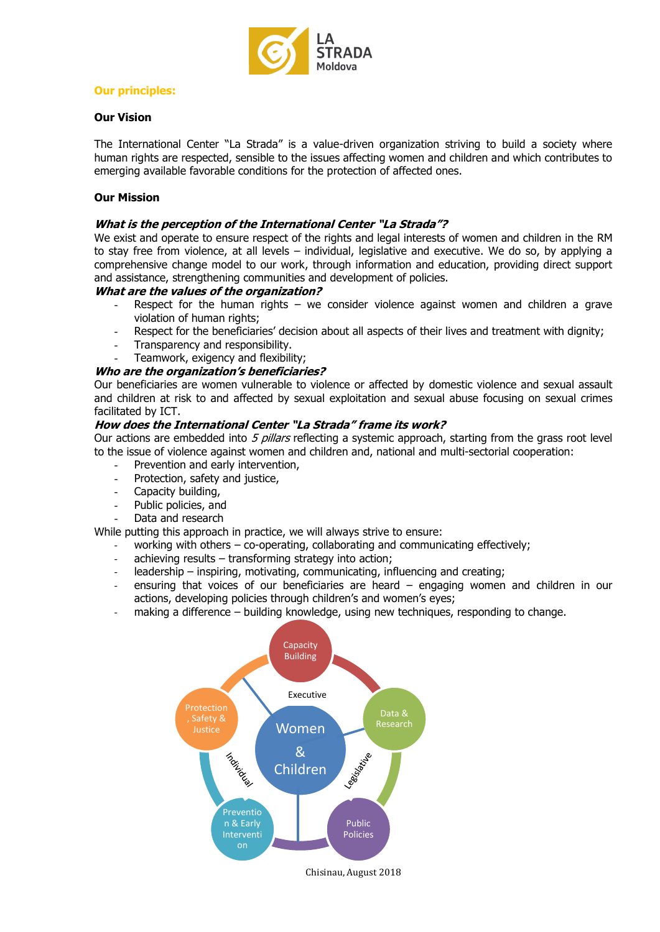

# **Our principles:**

## **Our Vision**

The International Center "La Strada" is a value-driven organization striving to build a society where human rights are respected, sensible to the issues affecting women and children and which contributes to emerging available favorable conditions for the protection of affected ones.

## **Our Mission**

### **What is the perception of the International Center "La Strada"?**

We exist and operate to ensure respect of the rights and legal interests of women and children in the RM to stay free from violence, at all levels – individual, legislative and executive. We do so, by applying a comprehensive change model to our work, through information and education, providing direct support and assistance, strengthening communities and development of policies.

#### **What are the values of the organization?**

- Respect for the human rights we consider violence against women and children a grave violation of human rights;
- Respect for the beneficiaries' decision about all aspects of their lives and treatment with dignity;
- Transparency and responsibility.
- Teamwork, exigency and flexibility;

## **Who are the organization's beneficiaries?**

Our beneficiaries are women vulnerable to violence or affected by domestic violence and sexual assault and children at risk to and affected by sexual exploitation and sexual abuse focusing on sexual crimes facilitated by ICT.

#### **How does the International Center "La Strada" frame its work?**

Our actions are embedded into  $5$  pillars reflecting a systemic approach, starting from the grass root level to the issue of violence against women and children and, national and multi-sectorial cooperation:

- Prevention and early intervention,
- Protection, safety and justice,
- Capacity building,
- Public policies, and
- Data and research

While putting this approach in practice, we will always strive to ensure:

- working with others co-operating, collaborating and communicating effectively;
- achieving results transforming strategy into action;
- leadership inspiring, motivating, communicating, influencing and creating;
- ensuring that voices of our beneficiaries are heard engaging women and children in our actions, developing policies through children's and women's eyes;
- making a difference building knowledge, using new techniques, responding to change.

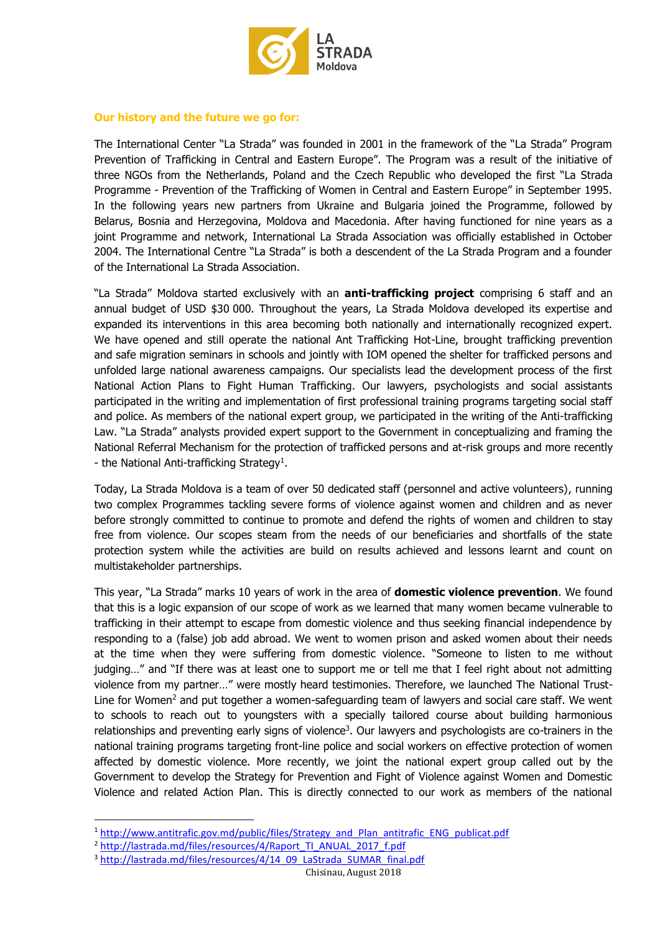

## **Our history and the future we go for:**

The International Center "La Strada" was founded in 2001 in the framework of the "La Strada" Program Prevention of Trafficking in Central and Eastern Europe". The Program was a result of the initiative of three NGOs from [the Netherlands,](http://lastradainternational.org/ls-offices/netherlands) [Poland](http://lastradainternational.org/ls-offices/poland) and the [Czech Republic](http://lastradainternational.org/ls-offices/czech-republic) who developed the first "La Strada Programme - Prevention of the Trafficking of Women in Central and Eastern Europe" in September 1995. In the following years new partners from [Ukraine](http://lastradainternational.org/ls-offices/ukraine) and [Bulgaria](http://lastradainternational.org/ls-offices/bulgaria) joined the Programme, followed by [Belarus,](http://lastradainternational.org/ls-offices/belarus) Bosnia and Herzegovina, [Moldova](http://lastradainternational.org/ls-offices/moldova) and [Macedonia.](http://lastradainternational.org/ls-offices/fyro-macedonia) After having functioned for nine years as a joint Programme and network, International La Strada Association was officially established in October 2004. The International Centre "La Strada" is both a descendent of the La Strada Program and a founder of the International La Strada Association.

"La Strada" Moldova started exclusively with an **anti-trafficking project** comprising 6 staff and an annual budget of USD \$30 000. Throughout the years, La Strada Moldova developed its expertise and expanded its interventions in this area becoming both nationally and internationally recognized expert. We have opened and still operate the national Ant Trafficking Hot-Line, brought trafficking prevention and safe migration seminars in schools and jointly with IOM opened the shelter for trafficked persons and unfolded large national awareness campaigns. Our specialists lead the development process of the first National Action Plans to Fight Human Trafficking. Our lawyers, psychologists and social assistants participated in the writing and implementation of first professional training programs targeting social staff and police. As members of the national expert group, we participated in the writing of the Anti-trafficking Law. "La Strada" analysts provided expert support to the Government in conceptualizing and framing the National Referral Mechanism for the protection of trafficked persons and at-risk groups and more recently - the National Anti-trafficking Strategy<sup>1</sup>.

Today, La Strada Moldova is a team of over 50 dedicated staff (personnel and active volunteers), running two complex Programmes tackling severe forms of violence against women and children and as never before strongly committed to continue to promote and defend the rights of women and children to stay free from violence. Our scopes steam from the needs of our beneficiaries and shortfalls of the state protection system while the activities are build on results achieved and lessons learnt and count on multistakeholder partnerships.

This year, "La Strada" marks 10 years of work in the area of **domestic violence prevention**. We found that this is a logic expansion of our scope of work as we learned that many women became vulnerable to trafficking in their attempt to escape from domestic violence and thus seeking financial independence by responding to a (false) job add abroad. We went to women prison and asked women about their needs at the time when they were suffering from domestic violence. "Someone to listen to me without judging…" and "If there was at least one to support me or tell me that I feel right about not admitting violence from my partner…" were mostly heard testimonies. Therefore, we launched The National Trust-Line for Women<sup>2</sup> and put together a women-safeguarding team of lawyers and social care staff. We went to schools to reach out to youngsters with a specially tailored course about building harmonious relationships and preventing early signs of violence<sup>3</sup>. Our lawyers and psychologists are co-trainers in the national training programs targeting front-line police and social workers on effective protection of women affected by domestic violence. More recently, we joint the national expert group called out by the Government to develop the Strategy for Prevention and Fight of Violence against Women and Domestic Violence and related Action Plan. This is directly connected to our work as members of the national

1

<sup>&</sup>lt;sup>1</sup> [http://www.antitrafic.gov.md/public/files/Strategy\\_and\\_Plan\\_antitrafic\\_ENG\\_publicat.pdf](http://www.antitrafic.gov.md/public/files/Strategy_and_Plan_antitrafic_ENG_publicat.pdf)

<sup>&</sup>lt;sup>2</sup> [http://lastrada.md/files/resources/4/Raport\\_TI\\_ANUAL\\_2017\\_f.pdf](http://lastrada.md/files/resources/4/Raport_TI_ANUAL_2017_f.pdf)

<sup>&</sup>lt;sup>3</sup> [http://lastrada.md/files/resources/4/14\\_09\\_LaStrada\\_SUMAR\\_final.pdf](http://lastrada.md/files/resources/4/14_09_LaStrada_SUMAR_final.pdf)

Chisinau, August 2018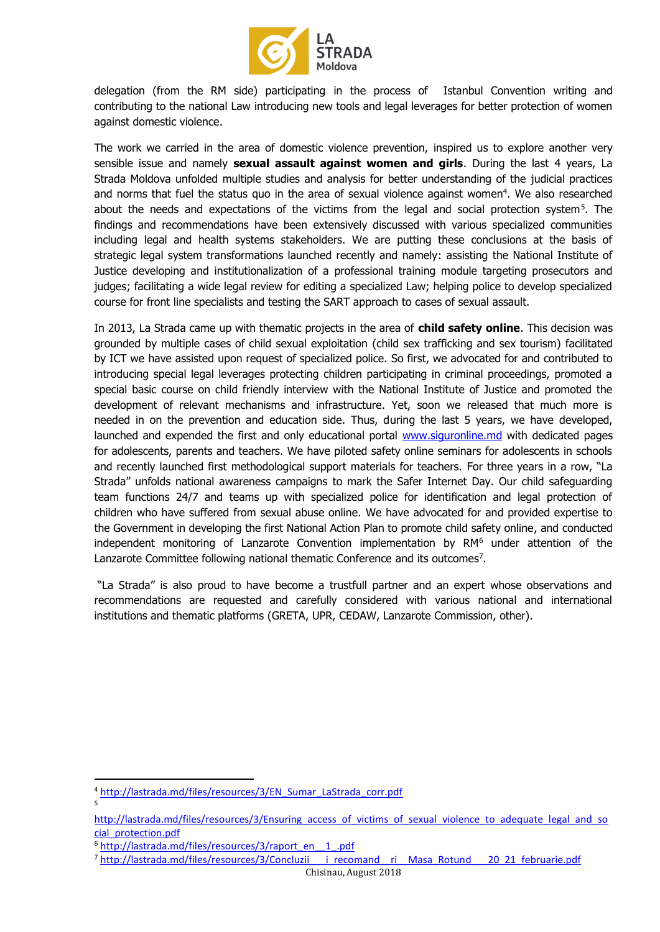

delegation (from the RM side) participating in the process of Istanbul Convention writing and contributing to the national Law introducing new tools and legal leverages for better protection of women against domestic violence.

The work we carried in the area of domestic violence prevention, inspired us to explore another very sensible issue and namely **sexual assault against women and girls**. During the last 4 years, La Strada Moldova unfolded multiple studies and analysis for better understanding of the judicial practices and norms that fuel the status quo in the area of sexual violence against women<sup>4</sup>. We also researched about the needs and expectations of the victims from the legal and social protection system<sup>5</sup>. The findings and recommendations have been extensively discussed with various specialized communities including legal and health systems stakeholders. We are putting these conclusions at the basis of strategic legal system transformations launched recently and namely: assisting the National Institute of Justice developing and institutionalization of a professional training module targeting prosecutors and judges; facilitating a wide legal review for editing a specialized Law; helping police to develop specialized course for front line specialists and testing the SART approach to cases of sexual assault.

In 2013, La Strada came up with thematic projects in the area of **child safety online**. This decision was grounded by multiple cases of child sexual exploitation (child sex trafficking and sex tourism) facilitated by ICT we have assisted upon request of specialized police. So first, we advocated for and contributed to introducing special legal leverages protecting children participating in criminal proceedings, promoted a special basic course on child friendly interview with the National Institute of Justice and promoted the development of relevant mechanisms and infrastructure. Yet, soon we released that much more is needed in on the prevention and education side. Thus, during the last 5 years, we have developed, launched and expended the first and only educational portal [www.siguronline.md](http://www.siguronline.md/) with dedicated pages for adolescents, parents and teachers. We have piloted safety online seminars for adolescents in schools and recently launched first methodological support materials for teachers. For three years in a row, "La Strada" unfolds national awareness campaigns to mark the Safer Internet Day. Our child safeguarding team functions 24/7 and teams up with specialized police for identification and legal protection of children who have suffered from sexual abuse online. We have advocated for and provided expertise to the Government in developing the first National Action Plan to promote child safety online, and conducted independent monitoring of Lanzarote Convention implementation by RM<sup>6</sup> under attention of the Lanzarote Committee following national thematic Conference and its outcomes<sup>7</sup>.

"La Strada" is also proud to have become a trustfull partner and an expert whose observations and recommendations are requested and carefully considered with various national and international institutions and thematic platforms (GRETA, UPR, CEDAW, Lanzarote Commission, other).

**.** 

<sup>4</sup> [http://lastrada.md/files/resources/3/EN\\_Sumar\\_LaStrada\\_corr.pdf](http://lastrada.md/files/resources/3/EN_Sumar_LaStrada_corr.pdf) 5

[http://lastrada.md/files/resources/3/Ensuring\\_access\\_of\\_victims\\_of\\_sexual\\_violence\\_to\\_adequate\\_legal\\_and\\_so](http://lastrada.md/files/resources/3/Ensuring_access_of_victims_of_sexual_violence_to_adequate_legal_and_social_protection.pdf) [cial\\_protection.pdf](http://lastrada.md/files/resources/3/Ensuring_access_of_victims_of_sexual_violence_to_adequate_legal_and_social_protection.pdf)

<sup>&</sup>lt;sup>6</sup> http://lastrada.md/files/resources/3/raport\_en\_1\_.pdf

<sup>7</sup> [http://lastrada.md/files/resources/3/Concluzii\\_\\_\\_i\\_recomand\\_\\_ri\\_\\_Masa\\_Rotund\\_\\_\\_20\\_21\\_februarie.pdf](http://lastrada.md/files/resources/3/Concluzii___i_recomand__ri__Masa_Rotund___20_21_februarie.pdf)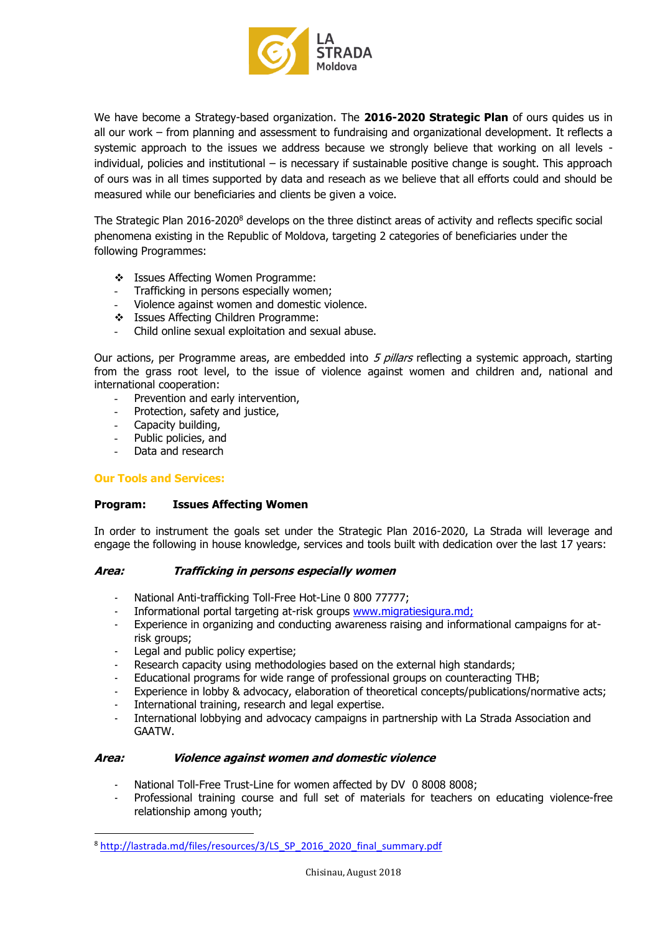

We have become a Strategy-based organization. The **2016-2020 Strategic Plan** of ours quides us in all our work – from planning and assessment to fundraising and organizational development. It reflects a systemic approach to the issues we address because we strongly believe that working on all levels individual, policies and institutional – is necessary if sustainable positive change is sought. This approach of ours was in all times supported by data and reseach as we believe that all efforts could and should be measured while our beneficiaries and clients be given a voice.

The Strategic Plan 2016-2020<sup>8</sup> develops on the three distinct areas of activity and reflects specific social phenomena existing in the Republic of Moldova, targeting 2 categories of beneficiaries under the following Programmes:

- Issues Affecting Women Programme:
- Trafficking in persons especially women;
- Violence against women and domestic violence.
- States Affecting Children Programme:
- Child online sexual exploitation and sexual abuse.

Our actions, per Programme areas, are embedded into 5 pillars reflecting a systemic approach, starting from the grass root level, to the issue of violence against women and children and, national and international cooperation:

- Prevention and early intervention,
- Protection, safety and justice,
- Capacity building,
- Public policies, and
- Data and research

## **Our Tools and Services:**

**.** 

## **Program: Issues Affecting Women**

In order to instrument the goals set under the Strategic Plan 2016-2020, La Strada will leverage and engage the following in house knowledge, services and tools built with dedication over the last 17 years:

## **Area: Trafficking in persons especially women**

- National Anti-trafficking Toll-Free Hot-Line 0 800 77777;
- Informational portal targeting at-risk groups [www.migratiesigura.md;](http://www.migratiesigura.md/)
- Experience in organizing and conducting awareness raising and informational campaigns for atrisk groups;
- Legal and public policy expertise;
- Research capacity using methodologies based on the external high standards;
- Educational programs for wide range of professional groups on counteracting THB;
- Experience in lobby & advocacy, elaboration of theoretical concepts/publications/normative acts;
- International training, research and legal expertise.
- International lobbying and advocacy campaigns in partnership with La Strada Association and GAATW.

## **Area: Violence against women and domestic violence**

- National Toll-Free Trust-Line for women affected by DV 0 8008 8008;
- Professional training course and full set of materials for teachers on educating violence-free relationship among youth;

<sup>8</sup> [http://lastrada.md/files/resources/3/LS\\_SP\\_2016\\_2020\\_final\\_summary.pdf](http://lastrada.md/files/resources/3/LS_SP_2016_2020_final_summary.pdf)